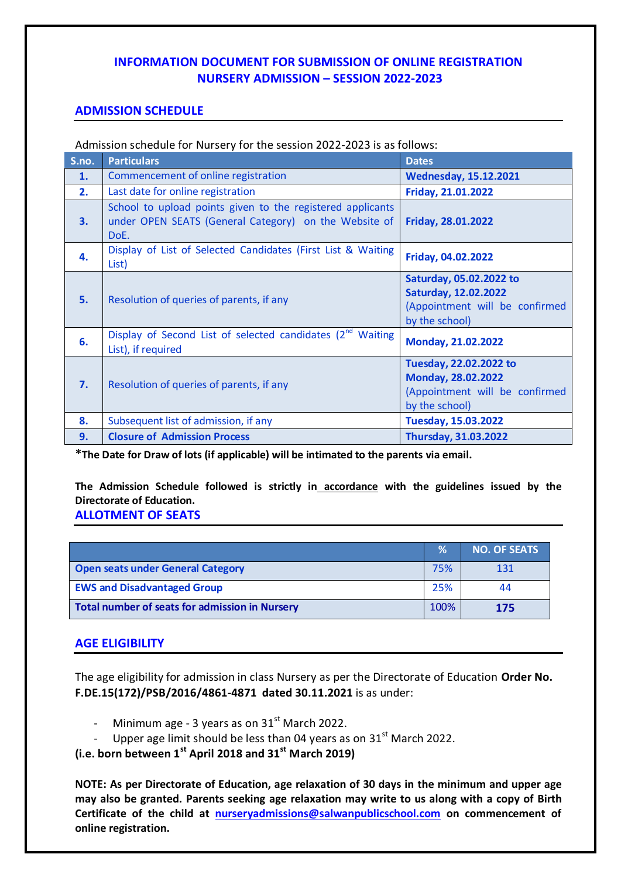## **INFORMATION DOCUMENT FOR SUBMISSION OF ONLINE REGISTRATION NURSERY ADMISSION – SESSION 2022-2023**

## **ADMISSION SCHEDULE**

Admission schedule for Nursery for the session 2022-2023 is as follows:

| S.no. | <b>Particulars</b>                                                                                                          | <b>Dates</b>                                                                                               |
|-------|-----------------------------------------------------------------------------------------------------------------------------|------------------------------------------------------------------------------------------------------------|
| 1.    | Commencement of online registration                                                                                         | <b>Wednesday, 15.12.2021</b>                                                                               |
| 2.    | Last date for online registration                                                                                           | Friday, 21.01.2022                                                                                         |
| 3.    | School to upload points given to the registered applicants<br>under OPEN SEATS (General Category) on the Website of<br>DoE. | Friday, 28.01.2022                                                                                         |
| 4.    | Display of List of Selected Candidates (First List & Waiting<br>List)                                                       | Friday, 04.02.2022                                                                                         |
| 5.    | Resolution of queries of parents, if any                                                                                    | Saturday, 05.02.2022 to<br><b>Saturday, 12.02.2022</b><br>(Appointment will be confirmed<br>by the school) |
| 6.    | Display of Second List of selected candidates (2 <sup>nd</sup><br>Waiting<br>List), if required                             | Monday, 21.02.2022                                                                                         |
| 7.    | Resolution of queries of parents, if any                                                                                    | Tuesday, 22.02.2022 to<br>Monday, 28.02.2022<br>(Appointment will be confirmed<br>by the school)           |
| 8.    | Subsequent list of admission, if any                                                                                        | Tuesday, 15.03.2022                                                                                        |
| 9.    | <b>Closure of Admission Process</b>                                                                                         | <b>Thursday, 31.03.2022</b>                                                                                |

**\*The Date for Draw of lots (if applicable) will be intimated to the parents via email.**

**The Admission Schedule followed is strictly in accordance with the guidelines issued by the Directorate of Education.** 

**ALLOTMENT OF SEATS**

|                                                       | $\frac{9}{6}$ | <b>NO. OF SEATS</b> |
|-------------------------------------------------------|---------------|---------------------|
| <b>Open seats under General Category</b>              | 75%           | 131                 |
| <b>EWS and Disadvantaged Group</b>                    | 25%           | 44                  |
| <b>Total number of seats for admission in Nursery</b> | 100%          | 175                 |

## **AGE ELIGIBILITY**

The age eligibility for admission in class Nursery as per the Directorate of Education **Order No. F.DE.15(172)/PSB/2016/4861-4871 dated 30.11.2021** is as under:

- Minimum age 3 years as on  $31<sup>st</sup>$  March 2022.
- Upper age limit should be less than 04 years as on  $31<sup>st</sup>$  March 2022.

**(i.e. born between 1st April 2018 and 31st March 2019)**

**NOTE: As per Directorate of Education, age relaxation of 30 days in the minimum and upper age may also be granted. Parents seeking age relaxation may write to us along with a copy of Birth Certificate of the child at [nurseryadmissions@salwanpublicschool.com](mailto:nurseryadmissions@salwanpublicschool.com) on commencement of online registration.**